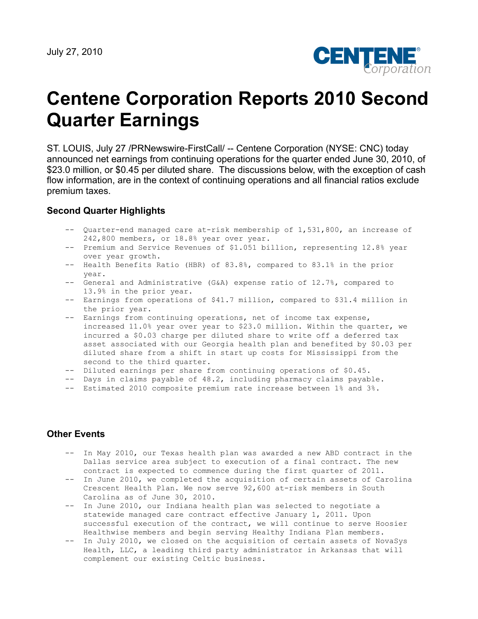

# **Centene Corporation Reports 2010 Second Quarter Earnings**

ST. LOUIS, July 27 /PRNewswire-FirstCall/ -- Centene Corporation (NYSE: CNC) today announced net earnings from continuing operations for the quarter ended June 30, 2010, of \$23.0 million, or \$0.45 per diluted share. The discussions below, with the exception of cash flow information, are in the context of continuing operations and all financial ratios exclude premium taxes.

## **Second Quarter Highlights**

- -- Quarter-end managed care at-risk membership of 1,531,800, an increase of 242,800 members, or 18.8% year over year.
- -- Premium and Service Revenues of \$1.051 billion, representing 12.8% year over year growth.
- -- Health Benefits Ratio (HBR) of 83.8%, compared to 83.1% in the prior year.
- -- General and Administrative (G&A) expense ratio of 12.7%, compared to 13.9% in the prior year.
- -- Earnings from operations of \$41.7 million, compared to \$31.4 million in the prior year.
- -- Earnings from continuing operations, net of income tax expense, increased 11.0% year over year to \$23.0 million. Within the quarter, we incurred a \$0.03 charge per diluted share to write off a deferred tax asset associated with our Georgia health plan and benefited by \$0.03 per diluted share from a shift in start up costs for Mississippi from the second to the third quarter.
- -- Diluted earnings per share from continuing operations of \$0.45.
- -- Days in claims payable of 48.2, including pharmacy claims payable.
- -- Estimated 2010 composite premium rate increase between 1% and 3%.

## **Other Events**

- -- In May 2010, our Texas health plan was awarded a new ABD contract in the Dallas service area subject to execution of a final contract. The new contract is expected to commence during the first quarter of 2011.
- -- In June 2010, we completed the acquisition of certain assets of Carolina Crescent Health Plan. We now serve 92,600 at-risk members in South Carolina as of June 30, 2010.
- -- In June 2010, our Indiana health plan was selected to negotiate a statewide managed care contract effective January 1, 2011. Upon successful execution of the contract, we will continue to serve Hoosier Healthwise members and begin serving Healthy Indiana Plan members.
- -- In July 2010, we closed on the acquisition of certain assets of NovaSys Health, LLC, a leading third party administrator in Arkansas that will complement our existing Celtic business.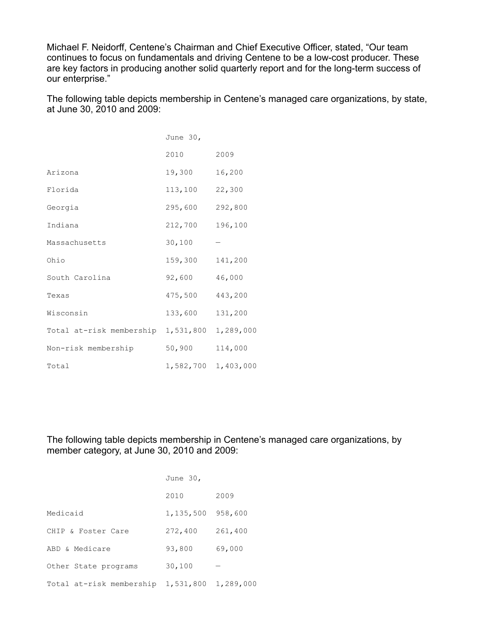Michael F. Neidorff, Centene's Chairman and Chief Executive Officer, stated, "Our team continues to focus on fundamentals and driving Centene to be a low-cost producer. These are key factors in producing another solid quarterly report and for the long-term success of our enterprise."

The following table depicts membership in Centene's managed care organizations, by state, at June 30, 2010 and 2009:

|                          | June 30,  |           |
|--------------------------|-----------|-----------|
|                          | 2010      | 2009      |
| Arizona                  | 19,300    | 16,200    |
| Florida                  | 113,100   | 22,300    |
| Georgia                  | 295,600   | 292,800   |
| Indiana                  | 212,700   | 196,100   |
| Massachusetts            | 30,100    |           |
| Ohio                     | 159,300   | 141,200   |
| South Carolina           | 92,600    | 46,000    |
| Texas                    | 475,500   | 443,200   |
| Wisconsin                | 133,600   | 131,200   |
| Total at-risk membership | 1,531,800 | 1,289,000 |
| Non-risk membership      | 50,900    | 114,000   |
| Total                    | 1,582,700 | 1,403,000 |

The following table depicts membership in Centene's managed care organizations, by member category, at June 30, 2010 and 2009:

|                          | June 30,  |           |
|--------------------------|-----------|-----------|
|                          | 2010      | 2009      |
| Medicaid                 | 1,135,500 | 958,600   |
| CHIP & Foster Care       | 272,400   | 261,400   |
| ABD & Medicare           | 93,800    | 69,000    |
| Other State programs     | 30,100    |           |
| Total at-risk membership | 1,531,800 | 1,289,000 |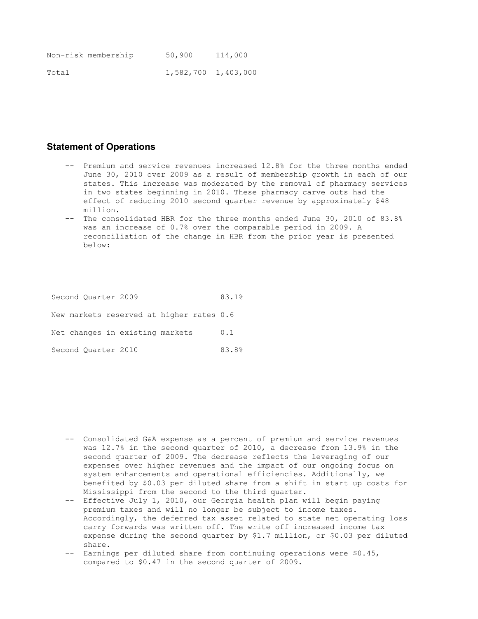|       | Non-risk membership | 50,900              | 114,000 |
|-------|---------------------|---------------------|---------|
| Total |                     | 1,582,700 1,403,000 |         |

#### **Statement of Operations**

- -- Premium and service revenues increased 12.8% for the three months ended June 30, 2010 over 2009 as a result of membership growth in each of our states. This increase was moderated by the removal of pharmacy services in two states beginning in 2010. These pharmacy carve outs had the effect of reducing 2010 second quarter revenue by approximately \$48 million.
- -- The consolidated HBR for the three months ended June 30, 2010 of 83.8% was an increase of 0.7% over the comparable period in 2009. A reconciliation of the change in HBR from the prior year is presented below:

Second Quarter 2009 83.1% New markets reserved at higher rates 0.6 Net changes in existing markets 0.1 Second Quarter 2010 83.8%

- -- Consolidated G&A expense as a percent of premium and service revenues was 12.7% in the second quarter of 2010, a decrease from 13.9% in the second quarter of 2009. The decrease reflects the leveraging of our expenses over higher revenues and the impact of our ongoing focus on system enhancements and operational efficiencies. Additionally, we benefited by \$0.03 per diluted share from a shift in start up costs for Mississippi from the second to the third quarter.
- -- Effective July 1, 2010, our Georgia health plan will begin paying premium taxes and will no longer be subject to income taxes. Accordingly, the deferred tax asset related to state net operating loss carry forwards was written off. The write off increased income tax expense during the second quarter by \$1.7 million, or \$0.03 per diluted share.
- -- Earnings per diluted share from continuing operations were \$0.45, compared to \$0.47 in the second quarter of 2009.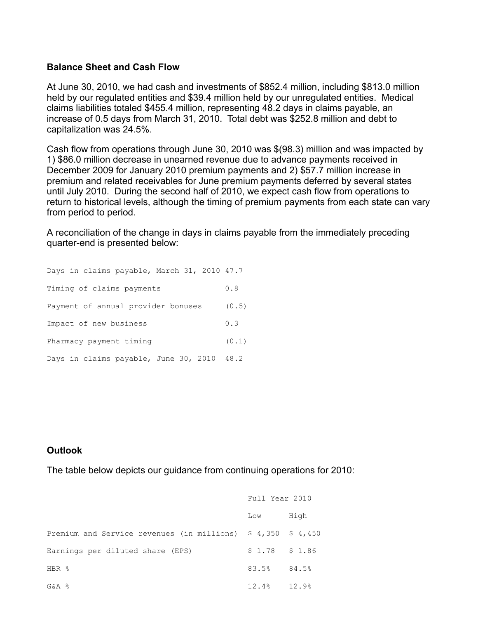## **Balance Sheet and Cash Flow**

At June 30, 2010, we had cash and investments of \$852.4 million, including \$813.0 million held by our regulated entities and \$39.4 million held by our unregulated entities. Medical claims liabilities totaled \$455.4 million, representing 48.2 days in claims payable, an increase of 0.5 days from March 31, 2010. Total debt was \$252.8 million and debt to capitalization was 24.5%.

Cash flow from operations through June 30, 2010 was \$(98.3) million and was impacted by 1) \$86.0 million decrease in unearned revenue due to advance payments received in December 2009 for January 2010 premium payments and 2) \$57.7 million increase in premium and related receivables for June premium payments deferred by several states until July 2010. During the second half of 2010, we expect cash flow from operations to return to historical levels, although the timing of premium payments from each state can vary from period to period.

A reconciliation of the change in days in claims payable from the immediately preceding quarter-end is presented below:

| Days in claims payable, March 31, 2010 47.7 |       |  |  |  |  |
|---------------------------------------------|-------|--|--|--|--|
| Timing of claims payments                   | 0.8   |  |  |  |  |
| Payment of annual provider bonuses          |       |  |  |  |  |
| Impact of new business                      |       |  |  |  |  |
| Pharmacy payment timing                     | (0.1) |  |  |  |  |
| Days in claims payable, June 30, 2010 48.2  |       |  |  |  |  |

## **Outlook**

The table below depicts our guidance from continuing operations for 2010:

|                                                                                    | Full Year 2010    |      |
|------------------------------------------------------------------------------------|-------------------|------|
|                                                                                    | Low               | High |
| Premium and Service revenues (in millions) $\frac{2}{7}$ 4,350 $\frac{2}{7}$ 4,450 |                   |      |
| Earnings per diluted share (EPS)                                                   | $$1.78$ $$1.86$   |      |
| HBR %                                                                              | 83.5% 84.5%       |      |
| G&A %                                                                              | $12.4\%$ $12.9\%$ |      |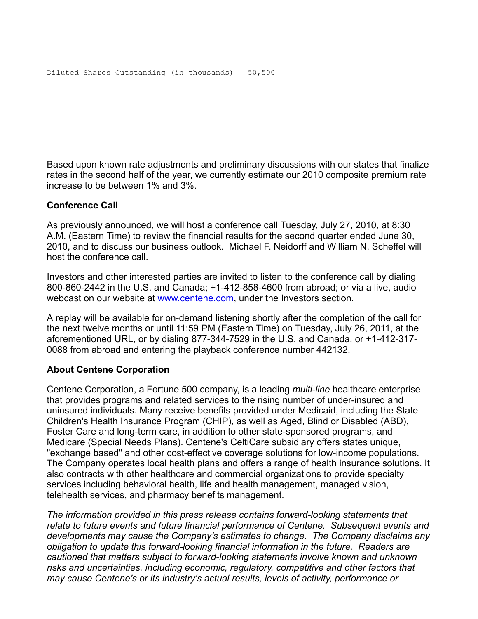Based upon known rate adjustments and preliminary discussions with our states that finalize rates in the second half of the year, we currently estimate our 2010 composite premium rate increase to be between 1% and 3%.

## **Conference Call**

As previously announced, we will host a conference call Tuesday, July 27, 2010, at 8:30 A.M. (Eastern Time) to review the financial results for the second quarter ended June 30, 2010, and to discuss our business outlook. Michael F. Neidorff and William N. Scheffel will host the conference call.

Investors and other interested parties are invited to listen to the conference call by dialing 800-860-2442 in the U.S. and Canada; +1-412-858-4600 from abroad; or via a live, audio webcast on our website at [www.centene.com](http://www.centene.com/), under the Investors section.

A replay will be available for on-demand listening shortly after the completion of the call for the next twelve months or until 11:59 PM (Eastern Time) on Tuesday, July 26, 2011, at the aforementioned URL, or by dialing 877-344-7529 in the U.S. and Canada, or +1-412-317- 0088 from abroad and entering the playback conference number 442132.

## **About Centene Corporation**

Centene Corporation, a Fortune 500 company, is a leading *multi-line* healthcare enterprise that provides programs and related services to the rising number of under-insured and uninsured individuals. Many receive benefits provided under Medicaid, including the State Children's Health Insurance Program (CHIP), as well as Aged, Blind or Disabled (ABD), Foster Care and long-term care, in addition to other state-sponsored programs, and Medicare (Special Needs Plans). Centene's CeltiCare subsidiary offers states unique, "exchange based" and other cost-effective coverage solutions for low-income populations. The Company operates local health plans and offers a range of health insurance solutions. It also contracts with other healthcare and commercial organizations to provide specialty services including behavioral health, life and health management, managed vision, telehealth services, and pharmacy benefits management.

*The information provided in this press release contains forward-looking statements that relate to future events and future financial performance of Centene. Subsequent events and developments may cause the Company's estimates to change. The Company disclaims any obligation to update this forward-looking financial information in the future. Readers are cautioned that matters subject to forward-looking statements involve known and unknown risks and uncertainties, including economic, regulatory, competitive and other factors that may cause Centene's or its industry's actual results, levels of activity, performance or*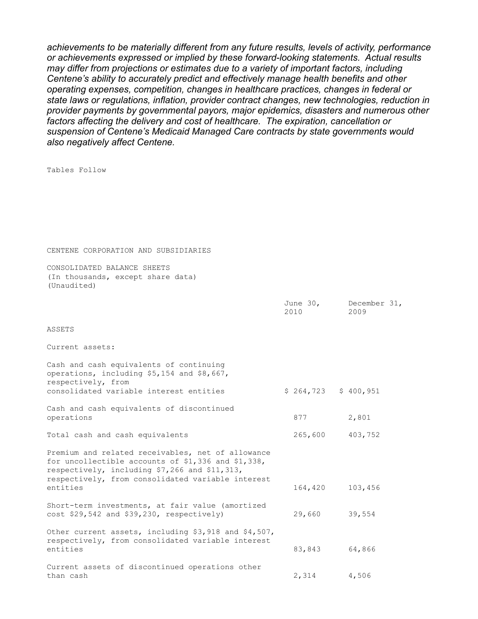*achievements to be materially different from any future results, levels of activity, performance or achievements expressed or implied by these forward-looking statements. Actual results may differ from projections or estimates due to a variety of important factors, including Centene's ability to accurately predict and effectively manage health benefits and other operating expenses, competition, changes in healthcare practices, changes in federal or state laws or regulations, inflation, provider contract changes, new technologies, reduction in provider payments by governmental payors, major epidemics, disasters and numerous other factors affecting the delivery and cost of healthcare. The expiration, cancellation or suspension of Centene's Medicaid Managed Care contracts by state governments would also negatively affect Centene.* 

Tables Follow

CENTENE CORPORATION AND SUBSIDIARIES

CONSOLIDATED BALANCE SHEETS (In thousands, except share data) (Unaudited)

|                                                                                                                                                                                                               | 2010                  | June 30, December 31,<br>2009 |
|---------------------------------------------------------------------------------------------------------------------------------------------------------------------------------------------------------------|-----------------------|-------------------------------|
| ASSETS                                                                                                                                                                                                        |                       |                               |
| Current assets:                                                                                                                                                                                               |                       |                               |
| Cash and cash equivalents of continuing<br>operations, including \$5,154 and \$8,667,<br>respectively, from<br>consolidated variable interest entities                                                        | $$264,723$ $$400,951$ |                               |
| Cash and cash equivalents of discontinued<br>operations                                                                                                                                                       | 877                   | 2,801                         |
| Total cash and cash equivalents                                                                                                                                                                               | 265,600 403,752       |                               |
| Premium and related receivables, net of allowance<br>for uncollectible accounts of \$1,336 and \$1,338,<br>respectively, including \$7,266 and \$11,313,<br>respectively, from consolidated variable interest |                       |                               |
| entities                                                                                                                                                                                                      | 164,420               | 103,456                       |
| Short-term investments, at fair value (amortized<br>cost \$29,542 and \$39,230, respectively)                                                                                                                 | 29,660                | 39,554                        |
| Other current assets, including \$3,918 and \$4,507,<br>respectively, from consolidated variable interest<br>entities                                                                                         | 83,843                | 64,866                        |
| Current assets of discontinued operations other<br>than cash                                                                                                                                                  | 2,314 4,506           |                               |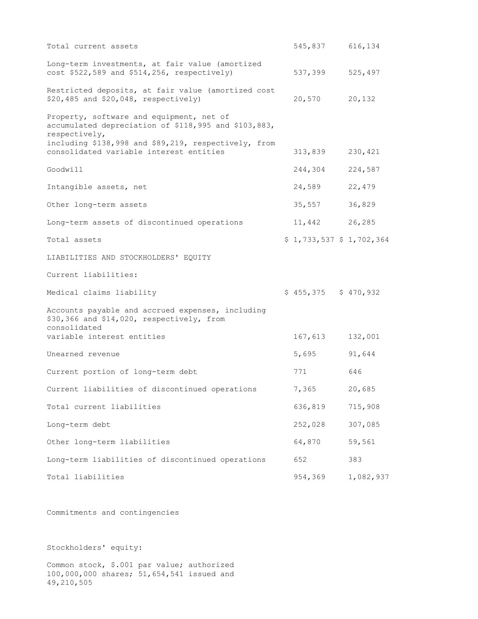| Total current assets                                                                                                                                                      | 545,837 616,134           |           |
|---------------------------------------------------------------------------------------------------------------------------------------------------------------------------|---------------------------|-----------|
| Long-term investments, at fair value (amortized<br>cost \$522,589 and \$514,256, respectively)                                                                            | 537,399                   | 525,497   |
| Restricted deposits, at fair value (amortized cost<br>\$20,485 and \$20,048, respectively)                                                                                | 20,570                    | 20,132    |
| Property, software and equipment, net of<br>accumulated depreciation of \$118,995 and \$103,883,<br>respectively,<br>including \$138,998 and \$89,219, respectively, from |                           |           |
| consolidated variable interest entities                                                                                                                                   | 313,839                   | 230,421   |
| Goodwill                                                                                                                                                                  | 244,304                   | 224,587   |
| Intangible assets, net                                                                                                                                                    | 24,589                    | 22,479    |
| Other long-term assets                                                                                                                                                    | 35,557                    | 36,829    |
| Long-term assets of discontinued operations                                                                                                                               | 11,442 26,285             |           |
| Total assets                                                                                                                                                              | $$1,733,537$ $$1,702,364$ |           |
| LIABILITIES AND STOCKHOLDERS' EQUITY                                                                                                                                      |                           |           |
| Current liabilities:                                                                                                                                                      |                           |           |
| Medical claims liability                                                                                                                                                  | $$455,375$ $$470,932$     |           |
| Accounts payable and accrued expenses, including<br>\$30,366 and \$14,020, respectively, from<br>consolidated                                                             |                           |           |
| variable interest entities                                                                                                                                                | 167,613                   | 132,001   |
| Unearned revenue                                                                                                                                                          | 5,695                     | 91,644    |
| Current portion of long-term debt                                                                                                                                         | 771                       | 646       |
| Current liabilities of discontinued operations                                                                                                                            | 7,365                     | 20,685    |
| Total current liabilities                                                                                                                                                 | 636,819                   | 715,908   |
| Long-term debt                                                                                                                                                            | 252,028                   | 307,085   |
| Other long-term liabilities                                                                                                                                               | 64,870                    | 59,561    |
| Long-term liabilities of discontinued operations                                                                                                                          | 652                       | 383       |
| Total liabilities                                                                                                                                                         | 954,369                   | 1,082,937 |

Commitments and contingencies

Stockholders' equity:

Common stock, \$.001 par value; authorized 100,000,000 shares; 51,654,541 issued and 49,210,505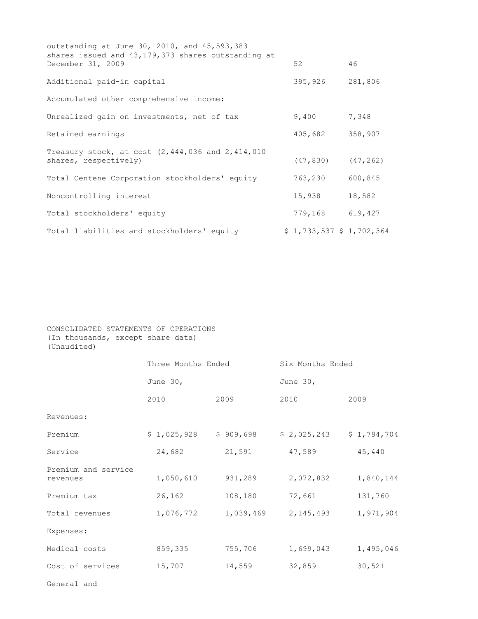| outstanding at June 30, 2010, and 45,593,383<br>shares issued and 43,179,373 shares outstanding at |                           |         |
|----------------------------------------------------------------------------------------------------|---------------------------|---------|
| December 31, 2009                                                                                  | 52                        | 46      |
| Additional paid-in capital                                                                         | 395,926                   | 281,806 |
| Accumulated other comprehensive income:                                                            |                           |         |
| Unrealized gain on investments, net of tax                                                         | 9,400                     | 7,348   |
| Retained earnings                                                                                  | 405,682                   | 358,907 |
| Treasury stock, at cost $(2, 444, 036 \text{ and } 2, 414, 010)$<br>shares, respectively)          | $(47, 830)$ $(47, 262)$   |         |
| Total Centene Corporation stockholders' equity                                                     | 763,230                   | 600,845 |
| Noncontrolling interest                                                                            | 15,938                    | 18,582  |
| Total stockholders' equity                                                                         | 779,168 619,427           |         |
| Total liabilities and stockholders' equity                                                         | $$1,733,537$ $$1,702,364$ |         |

CONSOLIDATED STATEMENTS OF OPERATIONS (In thousands, except share data) (Unaudited)

|                                 | Three Months Ended |           | Six Months Ended |             |  |  |
|---------------------------------|--------------------|-----------|------------------|-------------|--|--|
|                                 | June $30l$         |           | June $30r$       |             |  |  |
|                                 | 2010               | 2009      | 2010             | 2009        |  |  |
| Revenues:                       |                    |           |                  |             |  |  |
| Premium                         | \$1,025,928        | \$909,698 | \$2,025,243      | \$1,794,704 |  |  |
| Service                         | 24,682             | 21,591    | 47,589           | 45,440      |  |  |
| Premium and service<br>revenues | 1,050,610          | 931,289   | 2,072,832        | 1,840,144   |  |  |
| Premium tax                     | 26,162             | 108,180   | 72,661           | 131,760     |  |  |
| Total revenues                  | 1,076,772          | 1,039,469 | 2, 145, 493      | 1,971,904   |  |  |
| Expenses:                       |                    |           |                  |             |  |  |
| Medical costs                   | 859,335            | 755,706   | 1,699,043        | 1,495,046   |  |  |
| Cost of services                | 15,707             | 14,559    | 32,859           | 30,521      |  |  |
|                                 |                    |           |                  |             |  |  |

General and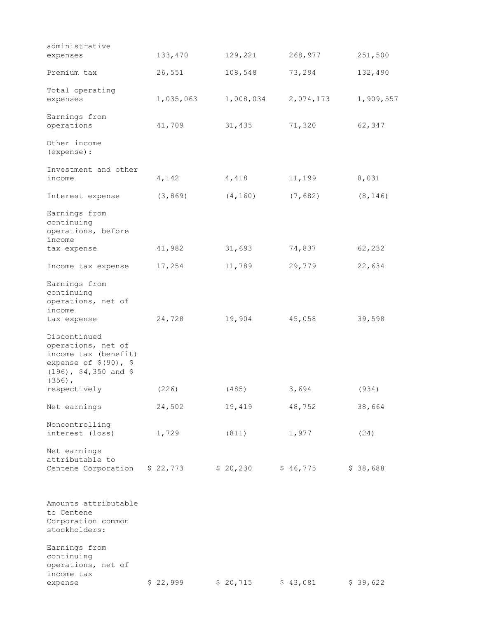| Premium tax                                                                                                                    | 26,551    | 108,548   | 73,294    | 132,490   |
|--------------------------------------------------------------------------------------------------------------------------------|-----------|-----------|-----------|-----------|
| Total operating<br>expenses                                                                                                    | 1,035,063 | 1,008,034 | 2,074,173 | 1,909,557 |
| Earnings from<br>operations                                                                                                    | 41,709    | 31,435    | 71,320    | 62,347    |
| Other income<br>(expense) :                                                                                                    |           |           |           |           |
| Investment and other<br>income                                                                                                 | 4,142     | 4,418     | 11,199    | 8,031     |
| Interest expense                                                                                                               | (3, 869)  | (4, 160)  | (7, 682)  | (8, 146)  |
| Earnings from<br>continuing<br>operations, before<br>income<br>tax expense                                                     | 41,982    | 31,693    | 74,837    | 62,232    |
| Income tax expense                                                                                                             | 17,254    | 11,789    | 29,779    | 22,634    |
| Earnings from<br>continuing<br>operations, net of<br>income<br>tax expense                                                     | 24,728    | 19,904    | 45,058    | 39,598    |
| Discontinued<br>operations, net of<br>income tax (benefit)<br>expense of $$(90)$ , \$<br>$(196)$ , \$4,350 and \$<br>$(356)$ , |           |           |           |           |
| respectively                                                                                                                   | (226)     | (485)     | 3,694     | (934)     |
| Net earnings                                                                                                                   | 24,502    | 19,419    | 48,752    | 38,664    |
| Noncontrolling<br>interest (loss)                                                                                              | 1,729     | (811)     | 1,977     | (24)      |
| Net earnings<br>attributable to<br>Centene Corporation                                                                         | \$22,773  | \$20,230  | \$46,775  | \$38,688  |
| Amounts attributable<br>to Centene<br>Corporation common<br>stockholders:                                                      |           |           |           |           |
| Earnings from<br>continuing<br>operations, net of<br>income tax<br>expense                                                     | \$22,999  | \$20,715  | \$43,081  | \$39,622  |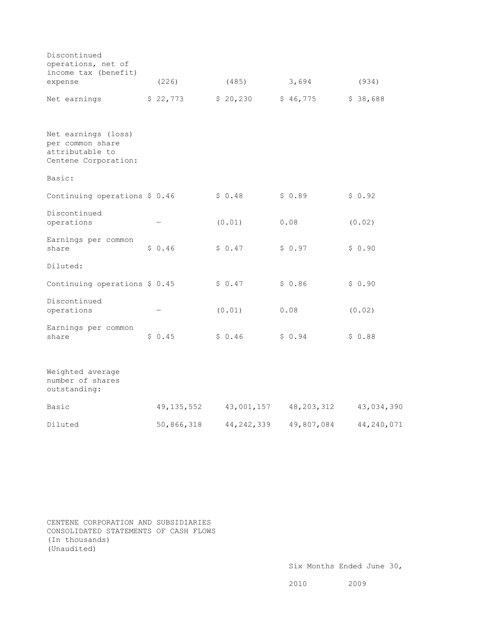| Discontinued<br>operations, net of<br>income tax (benefit)                         |              |              |              |            |
|------------------------------------------------------------------------------------|--------------|--------------|--------------|------------|
| expense                                                                            | (226)        | (485)        | 3,694        | (934)      |
| Net earnings                                                                       | \$22,773     | \$20,230     | \$46,775     | \$38,688   |
| Net earnings (loss)<br>per common share<br>attributable to<br>Centene Corporation: |              |              |              |            |
| Basic:                                                                             |              |              |              |            |
| Continuing operations $$0.46$                                                      |              | \$0.48       | \$0.89       | \$0.92     |
| Discontinued<br>operations                                                         |              | (0.01)       | 0.08         | (0.02)     |
| Earnings per common<br>share                                                       | \$0.46       | \$0.47       | \$0.97       | \$0.90     |
| Diluted:                                                                           |              |              |              |            |
| Continuing operations \$ 0.45                                                      |              | \$0.47       | \$0.86       | \$0.90     |
| Discontinued<br>operations                                                         |              | (0.01)       | 0.08         | (0.02)     |
| Earnings per common<br>share                                                       | \$0.45       | \$0.46       | \$0.94       | \$0.88     |
| Weighted average<br>number of shares<br>outstanding:                               |              |              |              |            |
| Basic                                                                              | 49, 135, 552 | 43,001,157   | 48, 203, 312 | 43,034,390 |
| Diluted                                                                            | 50,866,318   | 44, 242, 339 | 49,807,084   | 44,240,071 |

CENTENE CORPORATION AND SUBSIDIARIES CONSOLIDATED STATEMENTS OF CASH FLOWS (In thousands) (Unaudited)

2010 2009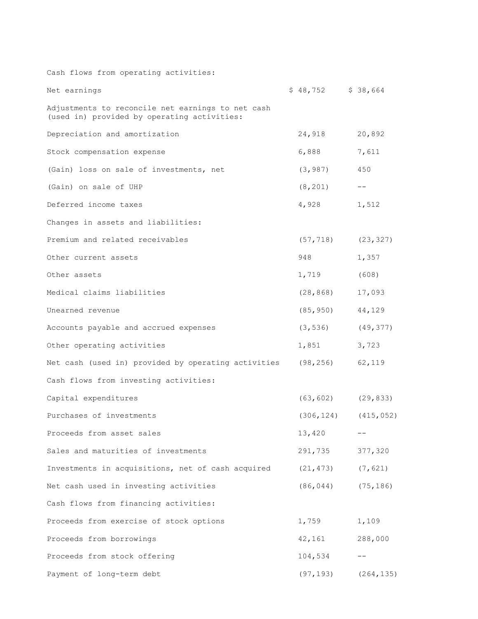| Cash flows from operating activities:                                                            |                           |            |
|--------------------------------------------------------------------------------------------------|---------------------------|------------|
| Net earnings                                                                                     | $$48,752$ $$38,664$       |            |
| Adjustments to reconcile net earnings to net cash<br>(used in) provided by operating activities: |                           |            |
| Depreciation and amortization                                                                    | 24,918                    | 20,892     |
| Stock compensation expense                                                                       | 6,888                     | 7,611      |
| (Gain) loss on sale of investments, net                                                          | (3, 987)                  | 450        |
| (Gain) on sale of UHP                                                                            | (8, 201)                  | $ -$       |
| Deferred income taxes                                                                            | 4,928                     | 1,512      |
| Changes in assets and liabilities:                                                               |                           |            |
| Premium and related receivables                                                                  | (57, 718)                 | (23, 327)  |
| Other current assets                                                                             | 948 — 100                 | 1,357      |
| Other assets                                                                                     | 1,719                     | (608)      |
| Medical claims liabilities                                                                       | (28, 868)                 | 17,093     |
| Unearned revenue                                                                                 | (85, 950)                 | 44,129     |
| Accounts payable and accrued expenses                                                            | (3, 536)                  | (49, 377)  |
| Other operating activities                                                                       | 1,851                     | 3,723      |
| Net cash (used in) provided by operating activities (98,256)                                     |                           | 62,119     |
| Cash flows from investing activities:                                                            |                           |            |
| Capital expenditures                                                                             | $(63, 602)$ $(29, 833)$   |            |
| Purchases of investments                                                                         | $(306, 124)$ $(415, 052)$ |            |
| Proceeds from asset sales                                                                        | 13,420                    |            |
| Sales and maturities of investments                                                              | 291,735                   | 377,320    |
| Investments in acquisitions, net of cash acquired                                                | (21, 473)                 | (7, 621)   |
| Net cash used in investing activities                                                            | (86, 044)                 | (75, 186)  |
| Cash flows from financing activities:                                                            |                           |            |
| Proceeds from exercise of stock options                                                          | 1,759                     | 1,109      |
| Proceeds from borrowings                                                                         | 42,161                    | 288,000    |
| Proceeds from stock offering                                                                     | 104,534                   |            |
| Payment of long-term debt                                                                        | (97, 193)                 | (264, 135) |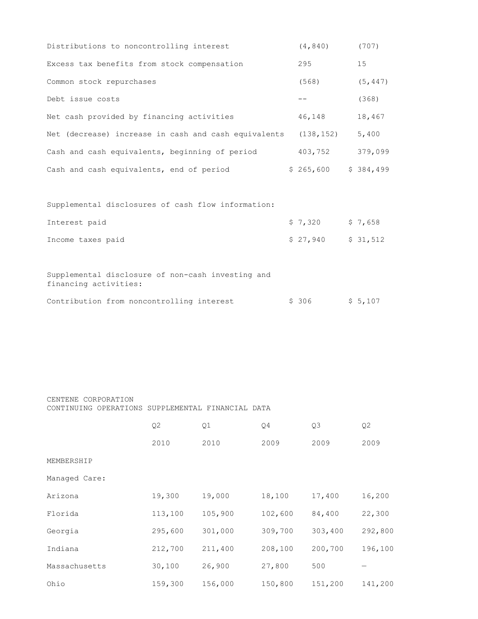| Distributions to noncontrolling interest             | (4, 840)   | (707)     |
|------------------------------------------------------|------------|-----------|
| Excess tax benefits from stock compensation          | 295        | 15        |
| Common stock repurchases                             | (568)      | (5, 447)  |
| Debt issue costs                                     |            | (368)     |
| Net cash provided by financing activities            | 46,148     | 18,467    |
| Net (decrease) increase in cash and cash equivalents | (138, 152) | 5,400     |
| Cash and cash equivalents, beginning of period       | 403,752    | 379,099   |
| Cash and cash equivalents, end of period             | \$265,600  | \$384,499 |
|                                                      |            |           |
| Supplemental disclosures of cash flow information:   |            |           |

| Interest paid     | \$7,320             | \$7,658 |
|-------------------|---------------------|---------|
| Income taxes paid | \$ 27,940 \$ 31,512 |         |

Supplemental disclosure of non-cash investing and financing activities:

|  | Contribution from noncontrolling interest |  | \$ 306 | \$5,107 |
|--|-------------------------------------------|--|--------|---------|
|  |                                           |  |        |         |

CENTENE CORPORATION CONTINUING OPERATIONS SUPPLEMENTAL FINANCIAL DATA

|               | Q2      | Q1      | Q4      | Q <sub>3</sub> | Q <sub>2</sub> |
|---------------|---------|---------|---------|----------------|----------------|
|               | 2010    | 2010    | 2009    | 2009           | 2009           |
| MEMBERSHIP    |         |         |         |                |                |
| Managed Care: |         |         |         |                |                |
| Arizona       | 19,300  | 19,000  | 18,100  | 17,400         | 16,200         |
| Florida       | 113,100 | 105,900 | 102,600 | 84,400         | 22,300         |
| Georgia       | 295,600 | 301,000 | 309,700 | 303,400        | 292,800        |
| Indiana       | 212,700 | 211,400 | 208,100 | 200,700        | 196,100        |
| Massachusetts | 30,100  | 26,900  | 27,800  | 500            |                |
| Ohio          | 159,300 | 156,000 | 150,800 | 151,200        | 141,200        |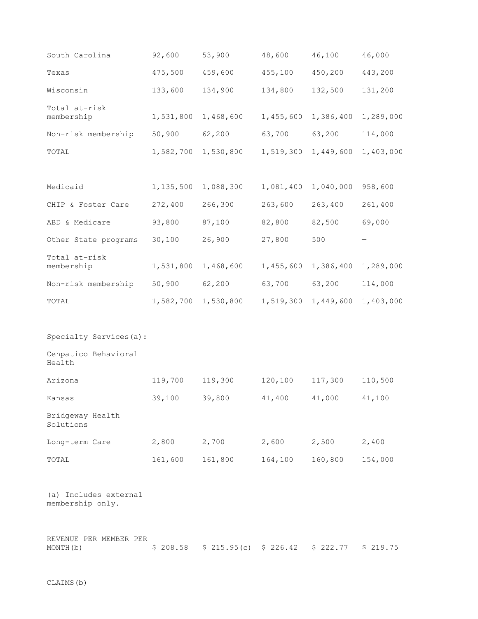| South Carolina                            | 92,600      | 53,900    | 48,600    | 46,100    | 46,000    |
|-------------------------------------------|-------------|-----------|-----------|-----------|-----------|
| Texas                                     | 475,500     | 459,600   | 455,100   | 450,200   | 443,200   |
| Wisconsin                                 | 133,600     | 134,900   | 134,800   | 132,500   | 131,200   |
| Total at-risk<br>membership               | 1,531,800   | 1,468,600 | 1,455,600 | 1,386,400 | 1,289,000 |
| Non-risk membership                       | 50,900      | 62,200    | 63,700    | 63,200    | 114,000   |
| TOTAL                                     | 1,582,700   | 1,530,800 | 1,519,300 | 1,449,600 | 1,403,000 |
|                                           |             |           |           |           |           |
| Medicaid                                  | 1, 135, 500 | 1,088,300 | 1,081,400 | 1,040,000 | 958,600   |
| CHIP & Foster Care                        | 272,400     | 266,300   | 263,600   | 263,400   | 261,400   |
| ABD & Medicare                            | 93,800      | 87,100    | 82,800    | 82,500    | 69,000    |
| Other State programs                      | 30,100      | 26,900    | 27,800    | 500       |           |
| Total at-risk<br>membership               | 1,531,800   | 1,468,600 | 1,455,600 | 1,386,400 | 1,289,000 |
| Non-risk membership                       | 50,900      | 62,200    | 63,700    | 63,200    | 114,000   |
| TOTAL                                     | 1,582,700   | 1,530,800 | 1,519,300 | 1,449,600 | 1,403,000 |
|                                           |             |           |           |           |           |
| Specialty Services(a):                    |             |           |           |           |           |
| Cenpatico Behavioral<br>Health            |             |           |           |           |           |
| Arizona                                   | 119,700     | 119,300   | 120,100   | 117,300   | 110,500   |
| Kansas                                    | 39,100      | 39,800    | 41,400    | 41,000    | 41,100    |
| Bridgeway Health<br>Solutions             |             |           |           |           |           |
| Long-term Care                            | 2,800       | 2,700     | 2,600     | 2,500     | 2,400     |
| TOTAL                                     | 161,600     | 161,800   | 164,100   | 160,800   | 154,000   |
| (a) Includes external<br>membership only. |             |           |           |           |           |

| REVENUE PER MEMBER PER |  |                                                      |  |  |
|------------------------|--|------------------------------------------------------|--|--|
| MONTH(b)               |  | $$208.58$ $$215.95(c)$ $$226.42$ $$222.77$ $$219.75$ |  |  |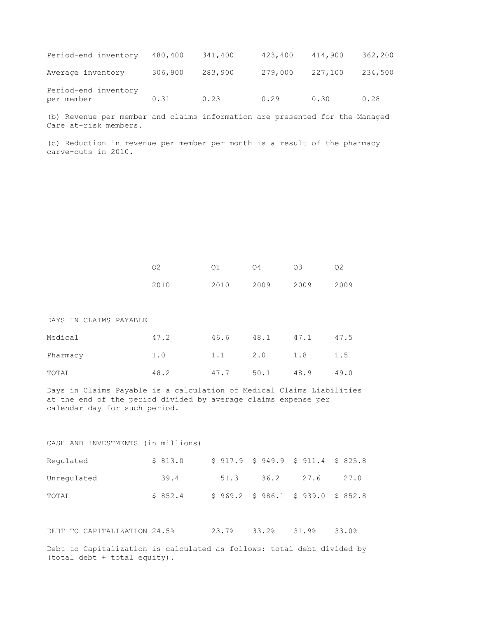| Period-end inventory               | 480,400 | 341,400 | 423,400 | 414,900 | 362,200 |
|------------------------------------|---------|---------|---------|---------|---------|
| Average inventory                  | 306,900 | 283,900 | 279,000 | 227,100 | 234,500 |
| Period-end inventory<br>per member | 0.31    | 0.23    | 0.29    | 0.30    | 0.28    |

(b) Revenue per member and claims information are presented for the Managed Care at-risk members.

(c) Reduction in revenue per member per month is a result of the pharmacy carve-outs in 2010.

|      | 01 04 03            |  | Q <sub>2</sub> |
|------|---------------------|--|----------------|
| 2010 | 2010 2009 2009 2009 |  |                |

#### DAYS IN CLAIMS PAYABLE

| Medical  | 47.2 | 46.6 | 48.1 | 47.1            | 47.5 |
|----------|------|------|------|-----------------|------|
| Pharmacy | 1.0  |      |      | 1.1 2.0 1.8 1.5 |      |
| TOTAL    | 48.2 | 47.7 | 50.1 | 48.9            | 49.0 |

Days in Claims Payable is a calculation of Medical Claims Liabilities at the end of the period divided by average claims expense per calendar day for such period.

#### CASH AND INVESTMENTS (in millions)

| Requlated   | \$813.0  |      | $$917.9$ $$949.9$ $$911.4$ $$825.8$    |      |      |
|-------------|----------|------|----------------------------------------|------|------|
| Unregulated | 39.4     | 51.3 | 36.2                                   | 27.6 | 27.0 |
| TOTAL       | \$8.52.4 |      | $$969.2$$ $$986.1$$ $$939.0$$ $$852.8$ |      |      |

DEBT TO CAPITALIZATION 24.5% 23.7% 33.2% 31.9% 33.0%

Debt to Capitalization is calculated as follows: total debt divided by (total debt + total equity).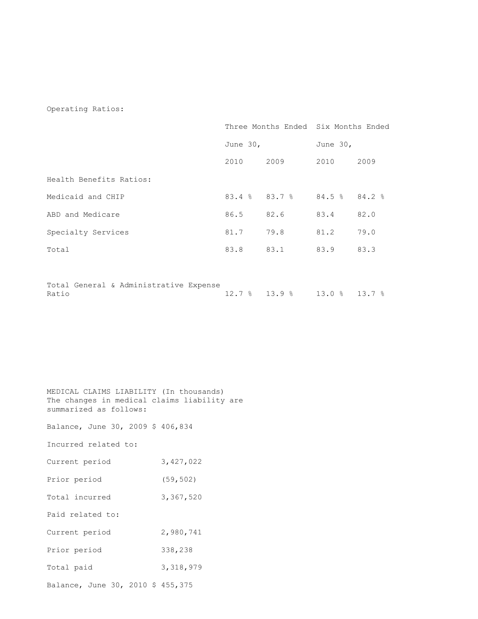#### Operating Ratios:

|                                                 |           |                                 | Three Months Ended Six Months Ended |      |  |
|-------------------------------------------------|-----------|---------------------------------|-------------------------------------|------|--|
|                                                 |           | June 30,                        |                                     |      |  |
|                                                 | 2010      | 2009                            | 2010                                | 2009 |  |
| Health Benefits Ratios:                         |           |                                 |                                     |      |  |
| Medicaid and CHIP                               |           | $83.4$ $8$ $83.7$ $8$           | $84.5$ $8$ $84.2$ $8$               |      |  |
| ABD and Medicare                                | 86.5 82.6 |                                 | 83.4                                | 82.0 |  |
| Specialty Services                              | 81.7      | 79.8                            | 81.2                                | 79.0 |  |
| Total                                           | 83.8      | 83.1                            | 83.9                                | 83.3 |  |
|                                                 |           |                                 |                                     |      |  |
| Total General & Administrative Expense<br>Ratio |           | $12.78$ $13.98$ $13.08$ $13.78$ |                                     |      |  |

| MEDICAL CLAIMS LIABILITY (In thousands)     |
|---------------------------------------------|
| The changes in medical claims liability are |
| summarized as follows:                      |
|                                             |

Balance, June 30, 2009 \$ 406,834

Incurred related to:

| Current period | 3,427,022 |
|----------------|-----------|
| Prior period   | (59, 502) |

Total incurred 3,367,520

Paid related to:

Current period 2,980,741

Prior period 338,238

Total paid 3,318,979

Balance, June 30, 2010 \$ 455,375